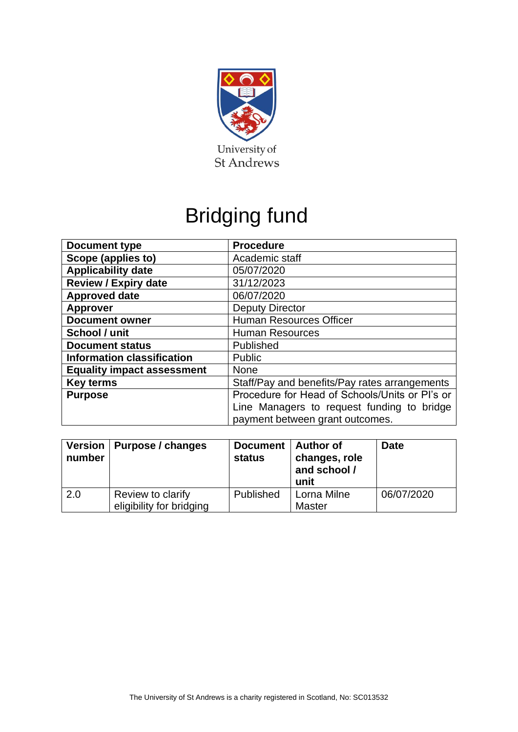

# Bridging fund

| <b>Document type</b>              | <b>Procedure</b>                               |  |  |
|-----------------------------------|------------------------------------------------|--|--|
| Scope (applies to)                | Academic staff                                 |  |  |
| <b>Applicability date</b>         | 05/07/2020                                     |  |  |
| <b>Review / Expiry date</b>       | 31/12/2023                                     |  |  |
| <b>Approved date</b>              | 06/07/2020                                     |  |  |
| <b>Approver</b>                   | <b>Deputy Director</b>                         |  |  |
| <b>Document owner</b>             | <b>Human Resources Officer</b>                 |  |  |
| School / unit                     | <b>Human Resources</b>                         |  |  |
| <b>Document status</b>            | Published                                      |  |  |
| <b>Information classification</b> | Public                                         |  |  |
| <b>Equality impact assessment</b> | <b>None</b>                                    |  |  |
| <b>Key terms</b>                  | Staff/Pay and benefits/Pay rates arrangements  |  |  |
| <b>Purpose</b>                    | Procedure for Head of Schools/Units or PI's or |  |  |
|                                   | Line Managers to request funding to bridge     |  |  |
|                                   | payment between grant outcomes.                |  |  |

| number | Version   Purpose / changes                   | Document   Author of<br><b>status</b> | changes, role<br>and school /<br>unit | <b>Date</b> |
|--------|-----------------------------------------------|---------------------------------------|---------------------------------------|-------------|
| 2.0    | Review to clarify<br>eligibility for bridging | Published                             | Lorna Milne<br><b>Master</b>          | 06/07/2020  |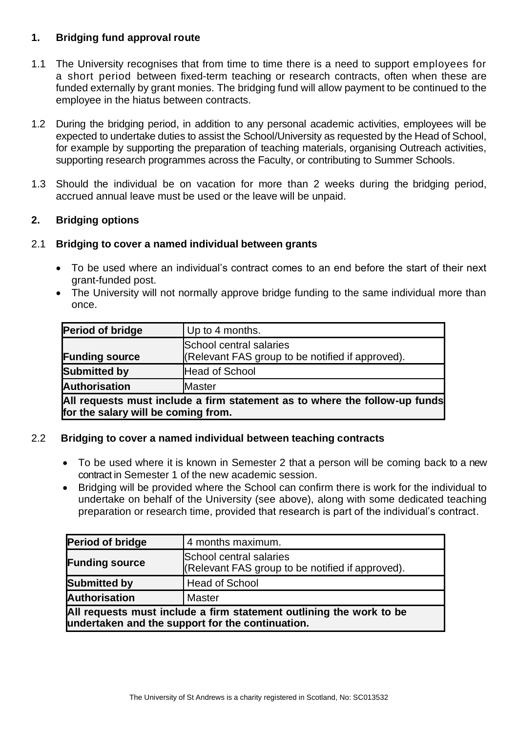## **1. Bridging fund approval route**

- 1.1 The University recognises that from time to time there is a need to support employees for a short period between fixed-term teaching or research contracts, often when these are funded externally by grant monies. The bridging fund will allow payment to be continued to the employee in the hiatus between contracts.
- 1.2 During the bridging period, in addition to any personal academic activities, employees will be expected to undertake duties to assist the School/University as requested by the Head of School, for example by supporting the preparation of teaching materials, organising Outreach activities, supporting research programmes across the Faculty, or contributing to Summer Schools.
- 1.3 Should the individual be on vacation for more than 2 weeks during the bridging period, accrued annual leave must be used or the leave will be unpaid.

## **2. Bridging options**

### 2.1 **Bridging to cover a named individual between grants**

- To be used where an individual's contract comes to an end before the start of their next grant-funded post.
- The University will not normally approve bridge funding to the same individual more than once.

| <b>Period of bridge</b>                                                    | Up to 4 months.                                  |  |  |  |
|----------------------------------------------------------------------------|--------------------------------------------------|--|--|--|
|                                                                            | School central salaries                          |  |  |  |
| <b>Funding source</b>                                                      | (Relevant FAS group to be notified if approved). |  |  |  |
| <b>Submitted by</b>                                                        | <b>Head of School</b>                            |  |  |  |
| <b>Authorisation</b>                                                       | Master                                           |  |  |  |
| All requests must include a firm statement as to where the follow-up funds |                                                  |  |  |  |
| for the salary will be coming from.                                        |                                                  |  |  |  |

### 2.2 **Bridging to cover a named individual between teaching contracts**

- To be used where it is known in Semester 2 that a person will be coming back to a new contract in Semester 1 of the new academic session.
- Bridging will be provided where the School can confirm there is work for the individual to undertake on behalf of the University (see above), along with some dedicated teaching preparation or research time, provided that research is part of the individual's contract.

| Period of bridge                                                                                                        | 4 months maximum.                                                           |  |  |
|-------------------------------------------------------------------------------------------------------------------------|-----------------------------------------------------------------------------|--|--|
| <b>Funding source</b>                                                                                                   | School central salaries<br>(Relevant FAS group to be notified if approved). |  |  |
| <b>Submitted by</b>                                                                                                     | <b>Head of School</b>                                                       |  |  |
| <b>Authorisation</b>                                                                                                    | Master                                                                      |  |  |
| All requests must include a firm statement outlining the work to be<br>undertaken and the support for the continuation. |                                                                             |  |  |